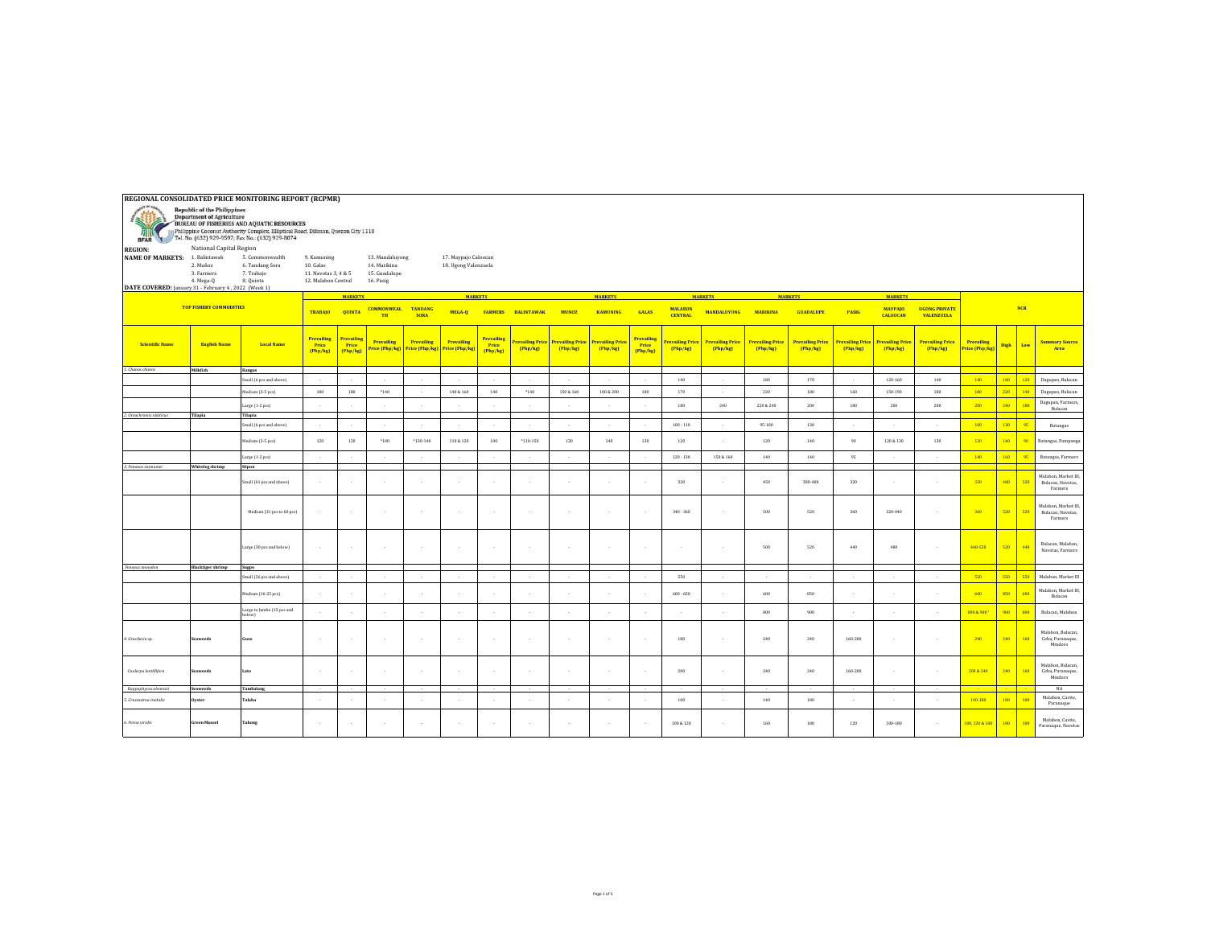| REGIONAL CONSOLIDATED PRICE MONITORING REPORT (RCPMR)                                                                                                                                                                                                                                                                                |                                     |                                                               |                                                                         |                                |                                                               |                                             |                                              |                                        |                           |                            |                                     |                                       |                                          |                                           |                                         |                                   |                                         |                                                                                |                                     |                                     |                          |           |                                                      |
|--------------------------------------------------------------------------------------------------------------------------------------------------------------------------------------------------------------------------------------------------------------------------------------------------------------------------------------|-------------------------------------|---------------------------------------------------------------|-------------------------------------------------------------------------|--------------------------------|---------------------------------------------------------------|---------------------------------------------|----------------------------------------------|----------------------------------------|---------------------------|----------------------------|-------------------------------------|---------------------------------------|------------------------------------------|-------------------------------------------|-----------------------------------------|-----------------------------------|-----------------------------------------|--------------------------------------------------------------------------------|-------------------------------------|-------------------------------------|--------------------------|-----------|------------------------------------------------------|
| <b>Republic of the Philippines</b><br><b>Department of Agriculture</b><br>i ≡i<br>运<br>BUREAU OF FISHERIES AND AQUATIC RESOURCES<br>Philippine Coconut Authority Complex, Elliptical Road, Diliman, Quezon City 1118<br>Tel. No. (632) 929-9597; Fax No.: (632) 929-8074<br><b>BFAR</b><br>National Capital Region<br><b>REGION:</b> |                                     |                                                               |                                                                         |                                |                                                               |                                             |                                              |                                        |                           |                            |                                     |                                       |                                          |                                           |                                         |                                   |                                         |                                                                                |                                     |                                     |                          |           |                                                      |
| <b>NAME OF MARKETS: 1. Balintawak</b><br>DATE COVERED: January 31 - February 4, 2022 (Week 1)                                                                                                                                                                                                                                        | 2. Muñoz<br>3. Farmers<br>4. Mega-Q | 5. Commonwealth<br>6. Tandang Sora<br>7. Trabajo<br>8. Quinta | 9. Kamuning<br>10. Galas<br>11. Navotas 3, 4 & 5<br>12. Malabon Central |                                | 13. Mandaluyong<br>14. Marikina<br>15. Guadalupe<br>16. Pasig |                                             | 17. Maypajo Caloocan<br>18. Ugong Valenzuela |                                        |                           |                            |                                     |                                       |                                          |                                           |                                         |                                   |                                         |                                                                                |                                     |                                     |                          |           |                                                      |
|                                                                                                                                                                                                                                                                                                                                      |                                     |                                                               |                                                                         | <b>MARKETS</b>                 |                                                               |                                             | <b>MARKETS</b>                               |                                        |                           |                            | <b>MARKETS</b>                      |                                       |                                          | <b>MARKETS</b>                            |                                         | <b>MARKETS</b>                    |                                         | <b>MARKETS</b>                                                                 |                                     |                                     |                          |           |                                                      |
|                                                                                                                                                                                                                                                                                                                                      | <b>TOP FISHERY COMMODITIES</b>      |                                                               | <b>TRABAJO</b>                                                          | <b>QUINTA</b>                  | <b>COMMONWEAL</b><br><b>TH</b>                                | <b>TANDANG</b><br><b>SORA</b>               | MEGA-Q                                       | <b>FARMERS</b>                         | <b>BALINTAWAK</b>         | <b>MUNOZ</b>               | <b>KAMUNING</b>                     | <b>GALAS</b>                          | <b>MALABON</b><br><b>CENTRAL</b>         | <b>MANDALUYONG</b>                        | <b>MARIKINA</b>                         | <b>GUADALUPE</b><br><b>PASIG</b>  |                                         | <b>МАҮРАЈО</b><br><b>UGONG PRIVATE</b><br><b>CALOOCAN</b><br><b>VALENZUELA</b> |                                     |                                     | <b>NCR</b>               |           |                                                      |
| <b>Scientific Name</b>                                                                                                                                                                                                                                                                                                               | <b>English Name</b>                 | <b>Local Name</b>                                             | Prevailing<br>Price<br>(Php/kg)                                         | Prevailim<br>Price<br>(Php/kg) | <b>Prevailing</b><br>rice (Php/kg)                            | Prevailing<br>Price (Php/kg) Price (Php/kg) | <b>Prevailing</b>                            | <b>Prevailing</b><br>Price<br>(Php/kg) | revailing Price<br>Php/kg | Prevailing Price<br>Php/kg | <b>Prevailing Price</b><br>[Php/kg] | <b>Prevailin</b><br>Price<br>(Php/kg) | <mark>revailing Price</mark><br>(Php/kg) | <mark>Prevailing Price</mark><br>[Php/kg] | <mark>Prevailing Price</mark><br>Php/kg | <b>Prevailing Price</b><br>Php/kg | <mark>Prevailing Price</mark><br>Php/kg | <mark>Prevailing Pric</mark><br>(Php/kg)                                       | <b>Prevailing Price</b><br>[Php/kg] | <b>Prevailing</b><br>Price (Php/kg) | High<br>Low              |           | Summary Source<br>Area                               |
| 1. Chanos chanos                                                                                                                                                                                                                                                                                                                     | Milkfish                            | Bangus                                                        |                                                                         |                                | $\sim$                                                        |                                             |                                              |                                        |                           |                            |                                     |                                       |                                          |                                           |                                         |                                   |                                         |                                                                                |                                     |                                     |                          |           |                                                      |
|                                                                                                                                                                                                                                                                                                                                      |                                     | Small (6 pcs and above)                                       | $\sim$<br>180                                                           | 180                            |                                                               | $\sim$<br>$\sim$                            | $\sim$<br>140 & 160                          | $\sim$                                 | $*140$                    | 150 & 160                  | $\sim$<br>180 & 200                 | $\sim$<br>180                         | 140<br>170                               |                                           | 180                                     | 170<br>180                        | 160                                     | $120 - 160$<br>150-190                                                         | 140<br>180                          | 140<br>180                          | 180<br>120<br>220<br>140 |           | Dagupan, Bulacan                                     |
|                                                                                                                                                                                                                                                                                                                                      |                                     | Medium (3-5 pcs)                                              |                                                                         |                                | $*140$                                                        |                                             |                                              | 140                                    |                           |                            |                                     |                                       |                                          |                                           | 220                                     |                                   |                                         |                                                                                |                                     |                                     |                          |           | Dagupan, Bulacan<br>Dagupan, Farmers,                |
| 2. Oreochromis niloticus                                                                                                                                                                                                                                                                                                             | Tilapia                             | Large (1-2 pcs)<br>Tilapia                                    |                                                                         |                                |                                                               |                                             |                                              |                                        |                           |                            |                                     |                                       | 180                                      | 240                                       | 220 & 240                               | 200                               | 180                                     | 200                                                                            | 200                                 | 200                                 | 240<br>180               |           | Bulacan                                              |
|                                                                                                                                                                                                                                                                                                                                      |                                     | Small (6 pcs and above)                                       |                                                                         |                                |                                                               |                                             |                                              | $\mathbf{r}$                           |                           |                            |                                     |                                       | $100 - 110$                              |                                           | 95-100                                  | 130                               |                                         |                                                                                | $\overline{\phantom{a}}$            | 100                                 | 130<br>95                |           | Batangas                                             |
|                                                                                                                                                                                                                                                                                                                                      |                                     | Medium (3-5 pcs)                                              | 120                                                                     | 120                            | 1100                                                          | $*130 - 140$                                | 110 & 120                                    | 100                                    | $*110-150$                | 120                        | 140                                 | 130                                   | 120                                      |                                           | 120                                     | 140                               | $90^{\circ}$                            | 120 & 130                                                                      | 130                                 | 120                                 | 140                      | <b>on</b> | Batangas, Pampanga                                   |
|                                                                                                                                                                                                                                                                                                                                      |                                     | Large (1-2 pcs)                                               | $\sim$                                                                  | $\sim$                         | $\sim$                                                        | $\mathbf{r}$                                | $\mathbf{r}$                                 | $\sim$                                 |                           |                            |                                     |                                       | $120 - 130$                              | 150 & 160                                 | 140                                     | 140                               | 95                                      |                                                                                | ÷.                                  | 140                                 | 160<br>95                |           | Batangas, Farmers                                    |
| 3. Penaeus vannamel                                                                                                                                                                                                                                                                                                                  | Whiteleg shrimp                     | Hipon<br>Small (61 pcs and above)                             | $\sim$                                                                  |                                |                                                               |                                             | $\cdot$                                      |                                        |                           |                            |                                     |                                       | 320                                      |                                           | 450                                     | 380-480                           | 320                                     |                                                                                | ٠                                   | 320                                 | 480                      | 320       | Malabon, Market III,<br>Bulacan, Navotas,<br>Farmers |
|                                                                                                                                                                                                                                                                                                                                      |                                     | Medium (31 pcs to 60 pcs)                                     |                                                                         |                                | $\cdot$                                                       | $\sim$                                      | $\sim$                                       |                                        |                           |                            |                                     |                                       | $340 - 360$                              |                                           | 500                                     | 520                               | 360                                     | 320-440                                                                        | ×                                   | 360                                 | 520<br>320               |           | Malabon, Market III.<br>Bulacan, Navotas,<br>Farmers |
|                                                                                                                                                                                                                                                                                                                                      |                                     | Large (30 pcs and below)                                      | $\sim$                                                                  | $\sim$                         | $\sim$                                                        | $\sim$                                      | $\cdot$                                      |                                        |                           |                            |                                     |                                       |                                          |                                           | 500                                     | 520                               | 440                                     | 480                                                                            | ×                                   | 440-520                             | 520<br>440               |           | Bulacan, Malabon.<br>Navotas, Farmers                |
| Penaeus monodon                                                                                                                                                                                                                                                                                                                      | <b>Blacktiger shrimn</b>            | Sugno<br>Small (26 pcs and above)                             | $\sim$                                                                  |                                | $\sim$                                                        | $\sim$                                      | $\mathbf{r}$                                 | $\mathcal{L}$                          | 14                        |                            | 14                                  |                                       | 550                                      |                                           |                                         | $\sim$                            | $\mathbf{r}$                            | $\mathcal{L}$                                                                  | <b>1979</b>                         | 550                                 | 550<br>550               |           | Malabon, Market III                                  |
|                                                                                                                                                                                                                                                                                                                                      |                                     | Medium (16-25 pcs)                                            | $\mathbf{r}$                                                            |                                |                                                               | $\sim$                                      |                                              |                                        |                           |                            |                                     |                                       | $600 - 650$                              |                                           | 600                                     | 850                               |                                         |                                                                                |                                     | 600                                 | 850<br><b>FOL</b>        |           | Malabon, Market III,<br>Bulacan                      |
|                                                                                                                                                                                                                                                                                                                                      |                                     | Large to Jumbo (15 pcs and<br>below)                          |                                                                         |                                |                                                               |                                             |                                              |                                        |                           |                            |                                     |                                       |                                          |                                           | 800                                     | 900                               |                                         |                                                                                |                                     | 800 & 900                           | 900                      | 800       | Bulacan, Malabon                                     |
| 4. Gracilaria sp.                                                                                                                                                                                                                                                                                                                    | Seaweed:                            | Guso                                                          | $\sim$                                                                  | $\sim$                         | $\sim$                                                        | $\sim$                                      | $\mathbf{r}$                                 |                                        |                           |                            |                                     | $\sim$                                | 180                                      |                                           | 240                                     | 240                               | 160-200                                 |                                                                                | <b>1979</b>                         | 240                                 | 240<br>160               |           | Malabon, Bulacan,<br>Cebu, Paranaque,<br>Mindoro     |
| Caulerpa lentilifera                                                                                                                                                                                                                                                                                                                 | Seaweed:                            | <b>Late</b>                                                   | $\sim$                                                                  | $\sim$                         | $\sim$                                                        | $\sim$                                      | $\sim$                                       |                                        |                           |                            |                                     | $\sim$                                | 200                                      |                                           | 240                                     | 240                               | 160-200                                 |                                                                                | <b>1979</b>                         | 200 & 240                           | 240<br>160               |           | Malabon, Bulacan,<br>Cebu, Paranaque,<br>Mindoro     |
| Kappaphycus alvarezii                                                                                                                                                                                                                                                                                                                | Seaweeds                            | Tambalang                                                     |                                                                         |                                |                                                               |                                             |                                              |                                        |                           |                            |                                     |                                       |                                          |                                           |                                         |                                   |                                         |                                                                                |                                     |                                     |                          |           | $_{\rm NA}$<br>Malabon, Cavite,                      |
| 5. Crassostrea iredalie                                                                                                                                                                                                                                                                                                              | Oyster                              | Talaba                                                        | $\sim$                                                                  | $\sim$                         | $\sim$                                                        | $\sim$                                      | $\mathbf{r}$                                 | $\sim$                                 | ٠.                        |                            |                                     |                                       | 100                                      |                                           | $140\,$                                 | 180                               |                                         | $\mathcal{L}_{\mathcal{A}}$                                                    | $\sim$                              | $100 - 180$                         | 180<br>100               |           | Paranaque                                            |
| . Perna viridis                                                                                                                                                                                                                                                                                                                      | <b>Green Mussel</b>                 | <b>Tahong</b>                                                 |                                                                         | $\sim$                         | $\cdot$                                                       |                                             |                                              |                                        |                           |                            |                                     |                                       | 100 & 120                                |                                           | 160                                     | 180                               | 120                                     | $100 - 180$                                                                    |                                     | 100, 120 & 180                      | 180<br>100               |           | Malabon, Cavite,<br>Paranaque, Navotas               |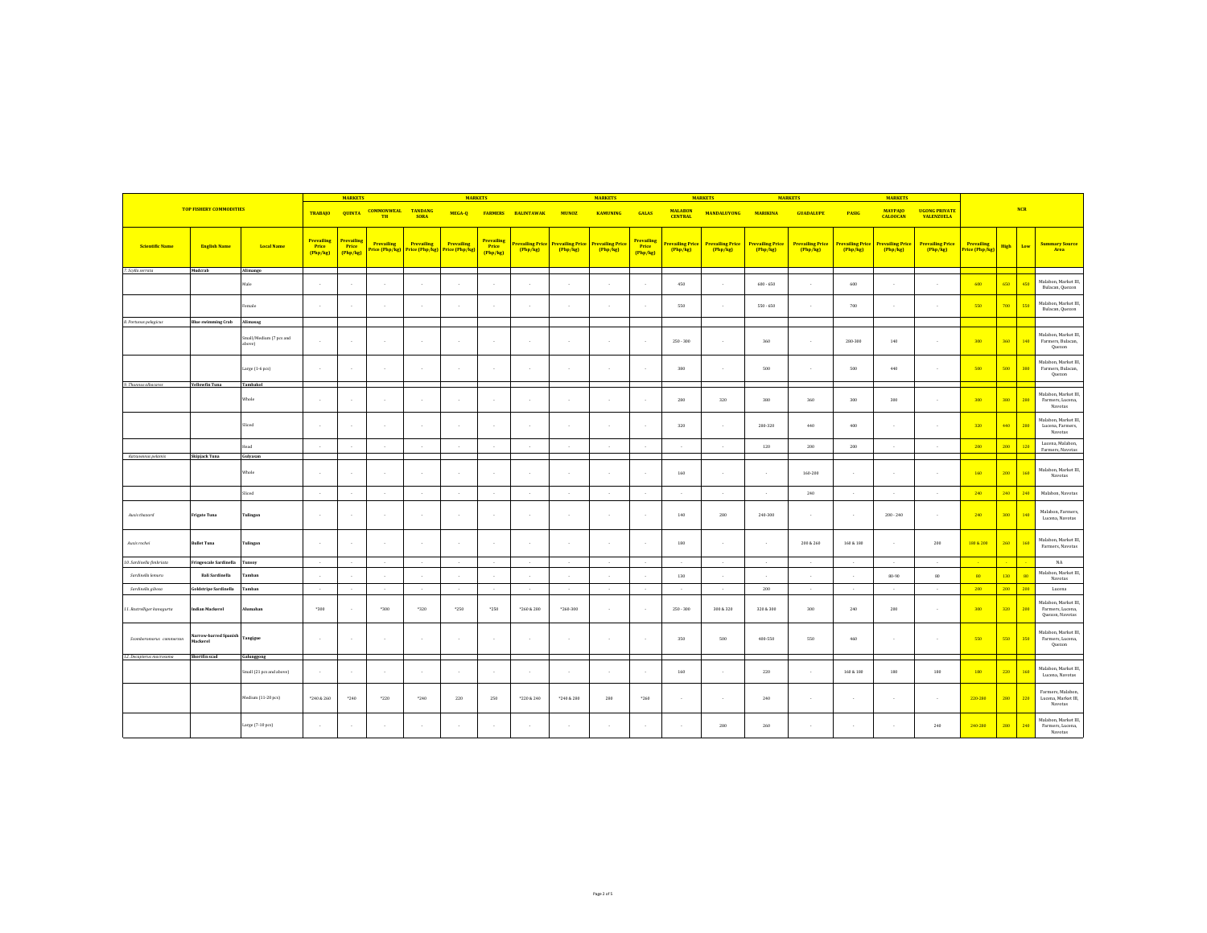|                            |                                   |                                   |                                        | <b>MARKETS</b>                       |                                |                                                                   | <b>MARKETS</b> |                                      |                            |                            | <b>MARKETS</b>                    |                                      |                                        | <b>MARKETS</b>             |                                    | <b>MARKETS</b>                    |                                        | <b>MARKETS</b>                    |                                           |                              |             |            |                                                             |
|----------------------------|-----------------------------------|-----------------------------------|----------------------------------------|--------------------------------------|--------------------------------|-------------------------------------------------------------------|----------------|--------------------------------------|----------------------------|----------------------------|-----------------------------------|--------------------------------------|----------------------------------------|----------------------------|------------------------------------|-----------------------------------|----------------------------------------|-----------------------------------|-------------------------------------------|------------------------------|-------------|------------|-------------------------------------------------------------|
|                            | <b>TOP FISHERY COMMODITIES</b>    |                                   | <b>TRABAJO</b>                         |                                      | <b>QUINTA COMMONWEAL</b><br>TH | <b>TANDANG</b><br><b>SORA</b>                                     |                |                                      | MEGA-Q FARMERS BALINTAWAK  | <b>MUNOZ</b>               | <b>KAMUNING</b>                   | <b>GALAS</b>                         | <b>MALABON</b><br><b>CENTRAL</b>       | <b>MANDALUYONG</b>         | <b>MARIKINA</b>                    | <b>GUADALUPE</b>                  | <b>PASIG</b>                           | <b>MAYPAJO</b><br><b>CALOOCAN</b> | <b>UGONG PRIVATE</b><br><b>VALENZUELA</b> |                              |             | <b>NCR</b> |                                                             |
| <b>Scientific Name</b>     | <b>English Name</b>               | <b>Local Name</b>                 | <b>Prevailing</b><br>Price<br>(Php/kg) | <b>Prevailing</b><br>Price<br>Php/kg | Prevailing                     | <b>Prevailing</b><br>Price (Php/kg) Price (Php/kg) Price (Php/kg) | Prevailing     | <b>Prevailing</b><br>Price<br>Php/kg | Prevailing Price<br>Php/kg | Prevailing Price<br>Php/kg | <b>Prevailing Price</b><br>Php/kg | Prevailing<br><b>Price</b><br>Php/kg | <mark>revailing Price</mark><br>Php/kg | Prevailing Price<br>Php/kg | <b>Prevailing Price</b><br>Php/kg) | <b>Prevailing Price</b><br>Php/kg | <mark>revailing Price</mark><br>Php/kg | <b>Prevailing Price</b><br>Php/kg | <b>Prevailing Price</b><br>Php/kg         | Prevailing<br>Price (Php/kg) | <b>High</b> | Low        | <b>Summary Source</b><br>Area                               |
| 7. Scylla serrata          | Muderab                           | Alimango                          |                                        |                                      |                                |                                                                   |                |                                      |                            |                            |                                   |                                      |                                        |                            |                                    |                                   |                                        |                                   |                                           |                              |             |            |                                                             |
|                            |                                   | Male                              | $\sim$                                 |                                      |                                |                                                                   |                |                                      |                            |                            |                                   |                                      | 450                                    |                            | $600 - 650$                        |                                   | 600                                    |                                   |                                           | 600                          | 650         | 451        | Malabon, Market III,<br>Bulacan, Quezon                     |
|                            |                                   | emale                             | $\sim$                                 |                                      |                                |                                                                   |                |                                      |                            |                            |                                   |                                      | 550                                    |                            | $550 - 650$                        |                                   | 700                                    |                                   |                                           | 550                          | 700         | 551        | Malabon, Market III,<br>Bulacan, Quezon                     |
| 8. Portunus pelagicus      | <b>Blue swimming Crab</b>         | Alimasag                          |                                        |                                      |                                |                                                                   |                |                                      |                            |                            |                                   |                                      |                                        |                            |                                    |                                   |                                        |                                   |                                           |                              |             |            |                                                             |
|                            |                                   | Small/Medium (7 pcs and<br>above) | 14                                     |                                      | $\mathcal{L}$                  | $\sim$                                                            |                | $\sim$                               |                            |                            |                                   |                                      | $250 - 300$                            |                            | 360                                |                                   | 280-300                                | 140                               | $\sim$                                    | 300                          | 360         | 140        | Malabon, Market III,<br>Farmers, Bulacan,<br>Quezon         |
|                            |                                   | Large (1-6 pcs)                   | $\sim$                                 |                                      | ٠.                             | $\sim$                                                            | $\sim$         | $\sim$                               |                            |                            |                                   | - 1                                  | 380                                    |                            | 500                                |                                   | 500                                    | 440                               | $\sim$                                    | 500                          | 500         | 380        | Malabon, Market III,<br>Farmers, Bulacan,<br>Quezon         |
| 9. Thunnus albacares       | <b>Yellowfin Tuna</b>             | Tambakol                          |                                        |                                      |                                |                                                                   |                |                                      |                            |                            |                                   |                                      |                                        |                            |                                    |                                   |                                        |                                   |                                           |                              |             |            |                                                             |
|                            |                                   | Whole                             | $\sim$                                 |                                      | $\sim$                         | $\mathbf{r}$                                                      |                | $\sim$                               | 14                         |                            |                                   |                                      | 280                                    | 320                        | 380                                | 360                               | 300                                    | 300                               | <b>1979</b>                               | 300                          | 380         | 280        | Malabon, Market III,<br>Farmers, Lucena,<br>Navotas         |
|                            |                                   | Sliced                            | <b>1979</b>                            |                                      | $\sim$                         | $\mathbf{r}$                                                      | $\sim$         | $\mathbf{r}$                         | - 1                        |                            |                                   | $\mathbf{r}$                         | 320                                    | 14                         | 280-320                            | 440                               | 400                                    | $\sim$                            | . .                                       | 320                          | 440         | 280        | Malabon, Market III,<br>Lucena, Farmers,<br>Navotas         |
|                            |                                   | Head                              | $\sim$                                 |                                      |                                |                                                                   |                |                                      |                            |                            |                                   |                                      |                                        |                            | 120                                | 200                               | 200                                    |                                   |                                           | 200                          | 200         | 120        | Lucena, Malabon,                                            |
| Katsuwanus pelamis         | Skipjack Tuna                     | Gulyasan                          |                                        |                                      |                                |                                                                   |                |                                      |                            |                            |                                   |                                      |                                        |                            |                                    |                                   |                                        |                                   |                                           |                              |             |            | Farmers, Navotas                                            |
|                            |                                   | Whole                             | $\sim$                                 |                                      | $\sim$                         | $\overline{\phantom{a}}$                                          |                | - 1                                  |                            |                            |                                   |                                      | 160                                    |                            | $\sim$                             | $160 - 200$                       |                                        |                                   | $\mathbf{r}$                              | 160                          | 200         | 160        | Malabon, Market III,<br>Navotas                             |
|                            |                                   | Sliced                            | $\sim$                                 |                                      |                                |                                                                   |                |                                      |                            |                            |                                   |                                      |                                        |                            |                                    | 240                               |                                        |                                   |                                           | 240                          | 240         | 240        | Malabon, Navotas                                            |
| Auxis thazard              | <b>Frigate Tuna</b>               | Tulingan                          | $\sim$                                 |                                      |                                | $\cdot$                                                           |                |                                      |                            |                            |                                   |                                      | 140                                    | 280                        | 240-300                            |                                   |                                        | $200 - 240$                       |                                           | 240                          | 300         | 140        | Malabon, Farmers,<br>Lucena, Navotas                        |
| Auxis rochei               | <b>Bullet Tuna</b>                | <b>Tulingan</b>                   | $\sim$                                 |                                      | $\sim$                         | $\sim$                                                            | $\sim$         | $\sim$                               |                            |                            |                                   |                                      | 180                                    |                            | $\sim$                             | 200 & 260                         | 160 & 180                              | $\sim$                            | 200                                       | 180 & 200                    | 260         | 160        | Malabon, Market III,<br>Farmers, Navotas                    |
| 10. Sardinella fimbriata   | Fringescale Sardinella            | Tunsoy                            | $\sim$                                 |                                      |                                |                                                                   |                |                                      |                            |                            |                                   |                                      |                                        |                            |                                    |                                   |                                        |                                   |                                           |                              |             |            | NA                                                          |
| Sardinella lemuru          | <b>Bali Sardinella</b>            | Tamban                            | $\sim$                                 |                                      |                                |                                                                   |                |                                      |                            |                            |                                   |                                      | 130                                    |                            |                                    |                                   |                                        | $80 - 90$                         | 80                                        | 80                           | 130         | 80         | Malabon, Market III.<br>Navotas                             |
| Sardinella gibosa          | Goldstripe Sardinella             | Tamban                            | $\sim$                                 |                                      | $\sim$                         | $\sim$                                                            | $\sim$         | $\sim$                               | $\sim$                     | $\sim$                     | $\sim$                            | $\sim$                               |                                        | $\sim$                     | 200                                | $\sim$                            | $\sim$                                 | $\sim$                            | $\sim$                                    | 200                          | 200         | 200        | Lucena                                                      |
| 11. Rastrelliger kanagurta | Indian Mackerel                   | <b>Mumahan</b>                    | $*300$                                 |                                      | *300                           | *320                                                              | $*250$         | *250                                 | *260 & 280                 | $*260.300$                 |                                   | - 1                                  | $250 - 300$                            | 300 & 320                  | 320 & 300                          | 300                               | 240                                    | 200                               | $\mathbf{r}$                              | 300                          | 320         | 200        | Malabon, Market III,<br>Farmers, Lucena,<br>Quezon, Navotas |
| Scomberomorus commerson    | larrow-barred Spanish<br>Mackerel | Tangigue                          | $\sim$                                 |                                      | $\sim$                         | $\sim$                                                            | $\mathcal{L}$  | $\mathcal{L}$                        |                            |                            |                                   | $\sim$                               | 350                                    | 500                        | 400-550                            | 550                               | 460                                    | $\mathcal{L}$                     | 14                                        | 550                          | 550         | 350        | Malabon, Market III,<br>Farmers, Lucena,<br>Quezon          |
| 12. Decapterus macrosoma   | Shortfin scad                     | Galunggong                        |                                        |                                      |                                |                                                                   |                |                                      |                            |                            |                                   |                                      |                                        |                            |                                    |                                   |                                        |                                   |                                           |                              |             |            |                                                             |
|                            |                                   | Small (21 pcs and above)          |                                        |                                      |                                |                                                                   |                |                                      |                            |                            |                                   |                                      | 160                                    |                            | 220                                |                                   | 160 & 180                              | 180                               | 180                                       | 180                          | 220         | 160        | Malabon, Market III,<br>Lucena, Navotas                     |
|                            |                                   | Medium (11-20 pcs)                | *240 & 260                             | $*240$                               | *220                           | $*240$                                                            | 220            | 250                                  | *220 & 240                 | *240 & 280                 | 280                               | $*260$                               |                                        |                            | 240                                |                                   |                                        |                                   | <b>1979</b>                               | 220-280                      | 280         | 220        | Farmers, Malabon,<br>Lucena, Market III,<br>Navotas         |
|                            |                                   | Large (7-10 pcs)                  |                                        |                                      |                                |                                                                   |                |                                      |                            |                            |                                   |                                      |                                        | 280                        | 260                                |                                   |                                        |                                   | 240                                       | 240-280                      | 280         | 240        | Malabon, Market III,<br>Farmers, Lucena,<br>Navotas         |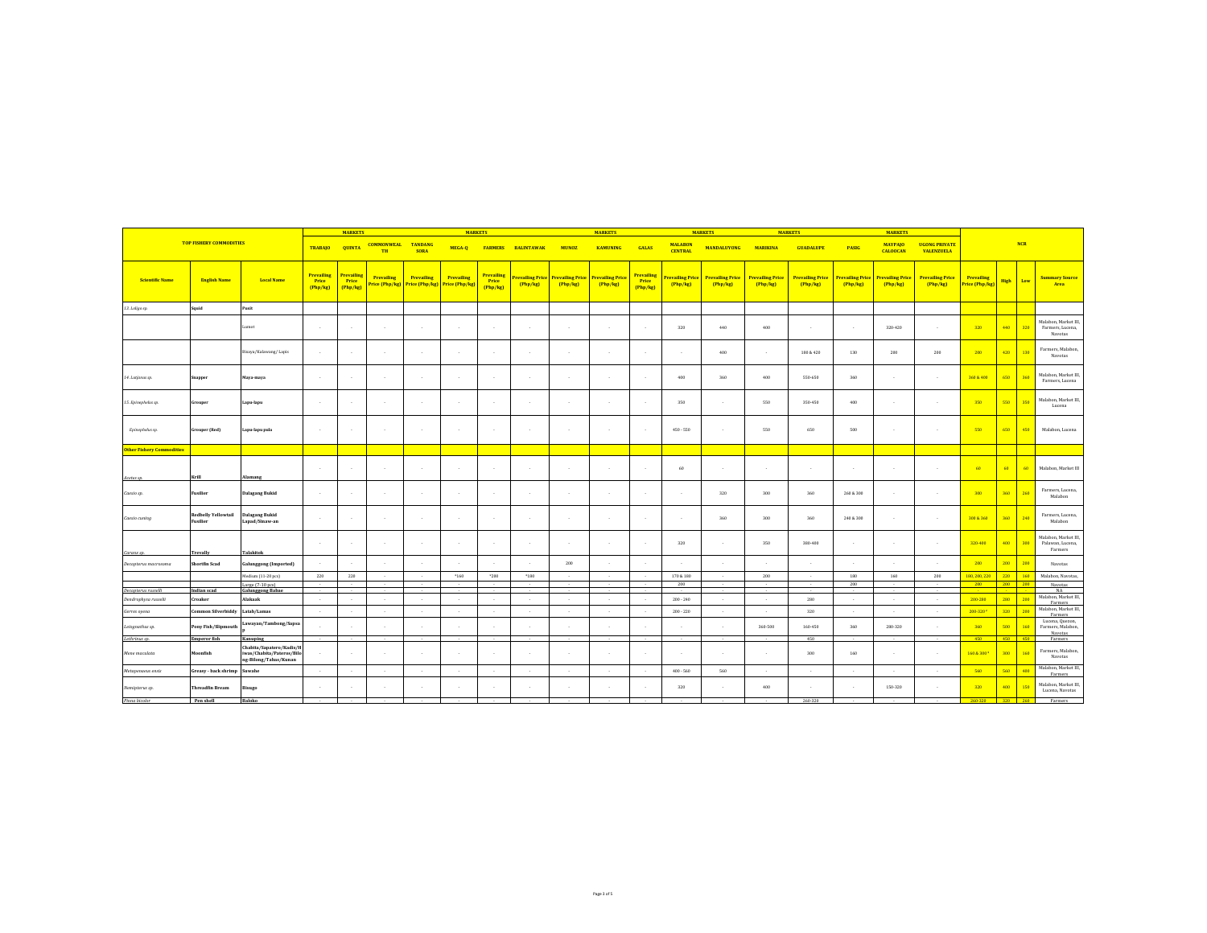|                                  |                                        |                                                                                |                                        | <b>MARKETS</b>                  |                                                            |                               | <b>MARKETS</b> |                               |                                     |                                     | <b>MARKETS</b>                      |                               |                                    | <b>MARKETS</b>                      |                                    | <b>MARKETS</b>                    |                                   | <b>MARKETS</b>                      |                                           |                              |             |            |                                                     |
|----------------------------------|----------------------------------------|--------------------------------------------------------------------------------|----------------------------------------|---------------------------------|------------------------------------------------------------|-------------------------------|----------------|-------------------------------|-------------------------------------|-------------------------------------|-------------------------------------|-------------------------------|------------------------------------|-------------------------------------|------------------------------------|-----------------------------------|-----------------------------------|-------------------------------------|-------------------------------------------|------------------------------|-------------|------------|-----------------------------------------------------|
|                                  | <b>TOP FISHERY COMMODITIES</b>         |                                                                                | <b>TRABAJO</b>                         | <b>QUINTA</b>                   | <b>COMMONWEAL</b><br><b>TH</b>                             | <b>TANDANG</b><br><b>SORA</b> | MEGA-Q         | <b>FARMERS</b>                | <b>BALINTAWAK</b>                   | <b>MUNOZ</b>                        | <b>KAMUNING</b>                     | <b>GALAS</b>                  | <b>MALABON</b><br><b>CENTRAL</b>   | <b>MANDALUYONG</b>                  | <b>MARIKINA</b>                    | <b>GUADALUPE</b>                  | <b>PASIG</b>                      | <b>MAYPAJO</b><br><b>CALOOCAN</b>   | <b>UGONG PRIVATE</b><br><b>VALENZUELA</b> |                              |             | <b>NCR</b> |                                                     |
| <b>Scientific Name</b>           | <b>English Name</b>                    | <b>Local Name</b>                                                              | <b>Prevailing</b><br>Price<br>(Php/kg) | Prevailing<br>Price<br>(Php/kg) | Prevailing<br>Price (Php/kg) Price (Php/kg) Price (Php/kg) | Prevailing                    | Prevailing     | Prevailing<br>Price<br>Php/kg | <b>Prevailing Price</b><br>[Php/kg] | <b>Prevailing Price</b><br>[Php/kg] | <b>Prevailing Price</b><br>(Php/kg) | Prevailing<br>Price<br>Php/kg | <b>revailing Price</b><br>[Php/kg] | <b>Prevailing Price</b><br>(Php/kg) | <b>Prevailing Price</b><br>Php/kg) | <b>Prevailing Price</b><br>Php/kg | <b>Prevailing Price</b><br>Php/kg | <b>Prevailing Price</b><br>(Php/kg) | <b>Prevailing Price</b><br>[Php/kg]       | Prevailing<br>Price (Php/kg) | <b>High</b> | Low        | <b>Summary Source</b><br>Area                       |
| 13. Loligo sp.                   | Squid                                  | Pusit                                                                          |                                        |                                 |                                                            |                               |                |                               |                                     |                                     |                                     |                               |                                    |                                     |                                    |                                   |                                   |                                     |                                           |                              |             |            |                                                     |
|                                  |                                        | lamot                                                                          | $\sim$                                 |                                 | $\sim$                                                     | $\cdot$                       |                | $\cdot$                       |                                     |                                     |                                     | $\sim$                        | 320                                | 440                                 | 400                                |                                   |                                   | 320-420                             | $\sim$                                    | 320                          | 440         | 320        | Malabon, Market III,<br>Farmers, Lucena,<br>Navotas |
|                                  |                                        | Bisaya/Kalawang/ Lapis                                                         | $\sim$                                 | $\sim$                          | $\sim$                                                     | $\sim$                        | $\sim$         | $\sim$                        | 14                                  | 14                                  | - 2                                 | $\sim$                        | $\sim$                             | 400                                 | <b>1979</b>                        | 180 & 420                         | 130                               | 200                                 | 200                                       | 200                          | 420         | 130        | Farmers, Malabon,<br>Navotas                        |
| 14. Lutjanus sp.                 | Snapper                                | Maya-maya                                                                      | $\sim$                                 | $\sim$                          | $\sim$                                                     | $\sim$                        | $\sim$         | $\sim$                        | 14                                  | $\sim$                              |                                     | $\sim$                        | 400                                | 360                                 | 400                                | 550-650                           | 360                               | $\mathbf{r}$                        | $\sim$                                    | 360 & 400                    | 650         | 360        | Malabon, Market III,<br>Farmers, Lucena             |
| 15. Epinephelus sp.              | Grouper                                | Lapu-lapu                                                                      | $\sim$                                 |                                 | $\sim$                                                     | $\sim$                        |                |                               |                                     |                                     |                                     | $\sim$                        | 350                                |                                     | 550                                | 350-450                           | 400                               |                                     | $\sim$                                    | 350                          | 550         | 350        | Malabon, Market III,<br>Lucena                      |
| Epinephelus sp.                  | <b>Grouper</b> (Red)                   | Lapu-lapu pula                                                                 | $\sim$                                 |                                 | $\sim$                                                     | $\cdot$                       |                | $\sim$                        |                                     |                                     |                                     | $\sim$                        | $450 - 550$                        |                                     | 550                                | 650                               | 500                               |                                     | ٠                                         | 550                          | 650         | 450        | Malabon, Lucena                                     |
| <b>Other Fishery Commodities</b> |                                        |                                                                                |                                        |                                 |                                                            |                               |                |                               |                                     |                                     |                                     |                               |                                    |                                     |                                    |                                   |                                   |                                     |                                           |                              |             |            |                                                     |
| Acetes sp.                       | Krill                                  | Alamang                                                                        | $\sim$                                 |                                 | $\cdot$                                                    | $\cdot$                       | $\sim$         | $\sim$                        |                                     |                                     |                                     | $\sim$                        | 60                                 |                                     | $\epsilon$                         | $\cdot$                           |                                   |                                     | $\sim$                                    | 60                           | 60          | 60         | Malabon, Market III                                 |
| Caesio sp.                       | Fusilier                               | Dalagang Bukid                                                                 | <b>1979</b>                            |                                 | $\sim$                                                     | $\sim$                        | $\sim$         | $\sim$                        | ٠.                                  | 14                                  |                                     | $\sim$                        | $\sim$                             | 320                                 | 300                                | 360                               | 260 & 300                         | $\mathbf{r}$                        | <b>1979</b>                               | 300                          | 360         | 260        | Farmers, Lucena,<br>Malabon                         |
| Caesio cuning                    | <b>Redbelly Yellowtail</b><br>Fusilier | Dalagang Bukid<br>Lapad/Sinaw-an                                               | $\sim$                                 |                                 | $\sim$                                                     | $\sim$                        | $\sim$         | $\sim$                        |                                     |                                     |                                     | $\sim$                        | $\sim$                             | 360                                 | 300                                | 360                               | 240 & 300                         |                                     | $\sim$                                    | 300 & 360                    | 360         | 240        | Farmers, Lucena,<br>Malabon                         |
| Caranx sp.                       | Trevally                               | <b>Talakitok</b>                                                               | $\sim$                                 |                                 | $\sim$                                                     | $\sim$                        | $\sim$         | $\cdot$                       | ٠.                                  |                                     |                                     | $\sim$                        | 320                                | ٠.                                  | 350                                | 380-400                           |                                   |                                     | $\sim$                                    | 320-400                      | 400         | 300        | Malabon, Market III,<br>Palawan, Lucena,<br>Farmers |
| Decapterus macrosoma             | Shortfin Scad                          | <b>Galunggong (Imported)</b>                                                   |                                        |                                 |                                                            |                               |                |                               |                                     | 200                                 |                                     |                               |                                    |                                     |                                    |                                   |                                   |                                     |                                           | 200                          | 200         | 200        | Navotas                                             |
|                                  |                                        | Medium (11-20 pcs)                                                             | 220                                    | 220                             | $\sim$                                                     | $\sim$                        | $*160$         | $*200$                        | *180                                |                                     |                                     | $\sim$                        | 170 & 180                          | 14                                  | 200                                | $\sim$                            | 180                               | 160                                 | 200                                       | 180, 200, 220                | 220         | 160        | Malabon, Navotas,                                   |
| Decapterus russelli              | Indian scad                            | Large (7-10 pes)<br><b>Galunggong Babae</b>                                    | . .                                    |                                 | $\sim$                                                     | $\mathbf{r}$                  |                |                               |                                     | - 1                                 |                                     | $\sim$                        | 200                                | - 1                                 |                                    |                                   | 200                               |                                     | ×.                                        | 200                          | 200 200     |            | Navotas<br>NA                                       |
| Dendrophysa russelii             | Croaker                                | Alakaak                                                                        | $\sim$                                 |                                 | $\sim$                                                     | $\sim$                        | $\mathcal{L}$  | $\sim$                        |                                     |                                     |                                     | $\sim$                        | $200 - 240$                        | 14                                  | ×.                                 | 280                               | $\sim$                            | $\mathbf{r}$                        | $\sim$                                    | 200-280                      | 280         | 200        | Malabon, Market III,                                |
| Gerres oyena                     | Common Silverbiddy                     | Latab/Lamas                                                                    | <b>1979</b>                            |                                 | $\sim$                                                     | $\sim$                        | $\sim$         | $\sim$                        | $\sim$                              | $\sim$                              | $\sim$                              | $\sim$                        | $200 - 220$                        | $\sim$                              | ×.                                 | 320                               | $\sim$                            | $\mathcal{L}$                       | $\sim$                                    | 200-320 <sup>3</sup>         | 320         | 200        | Farmers<br>Malabon, Market III,<br><b>Farmers</b>   |
| Leiognathus sp.                  | Pony Fish/Slipmouth                    | Lawayan/Tambong/Sapsa                                                          |                                        |                                 |                                                            |                               |                |                               |                                     |                                     |                                     |                               |                                    |                                     | 360-500                            | 160-450                           | 360                               | 280-320                             |                                           | 360                          | 500         | 160        | Lucena, Quezon,<br>Farmers, Malabon,                |
| Lethrinus sp.                    | <b>Emperor</b> fish                    | Kanuping                                                                       |                                        |                                 | $\sim$                                                     | $\sim$                        |                |                               |                                     |                                     |                                     | $\sim$                        |                                    |                                     |                                    | 450                               |                                   |                                     |                                           | 450                          | 450 450     |            | Navotas<br>Farmers                                  |
| Mene maculata                    | Moonfish                               | Chabita/Sapatero/Kadis/H<br>iwas/Chabita/Pateros/Bilo<br>ng-Bilong/Tabas/Kunan | $\sim$                                 |                                 | $\sim$                                                     | $\mathbf{r}$                  |                |                               |                                     |                                     |                                     | $\sim$                        |                                    | $\sim$                              | $\sim$                             | 300                               | 160                               |                                     | $\sim$                                    | 160 & 300                    | 300         | 160        | Farmers, Malabon,<br>Navotas                        |
| Metapenaeus ensis                | Greasy - back shrimp                   | Suwahe                                                                         | $\sim$                                 |                                 |                                                            |                               |                |                               |                                     |                                     |                                     |                               | $400 - 560$                        | 560                                 |                                    |                                   |                                   |                                     |                                           | 560                          | 560         | 400        | Malabon, Market III,<br>Farmers                     |
| Nemipterus sp.                   | <b>Threadfin Bream</b>                 | Bisugo                                                                         | $\sim$                                 |                                 | - 1                                                        | $\mathbf{r}$                  | $\mathcal{L}$  |                               |                                     |                                     |                                     |                               | 320                                |                                     | 400                                |                                   |                                   | 150-320                             |                                           | 320                          | 400         | 150        | Malabon, Market III,<br>Lucena, Navotas             |
| Pinna bicolor                    | Pen shell                              | Baloko                                                                         |                                        |                                 |                                                            |                               |                |                               |                                     |                                     |                                     |                               |                                    |                                     |                                    | 260-320                           |                                   |                                     |                                           | 260-320 320 260              |             |            | Farmers                                             |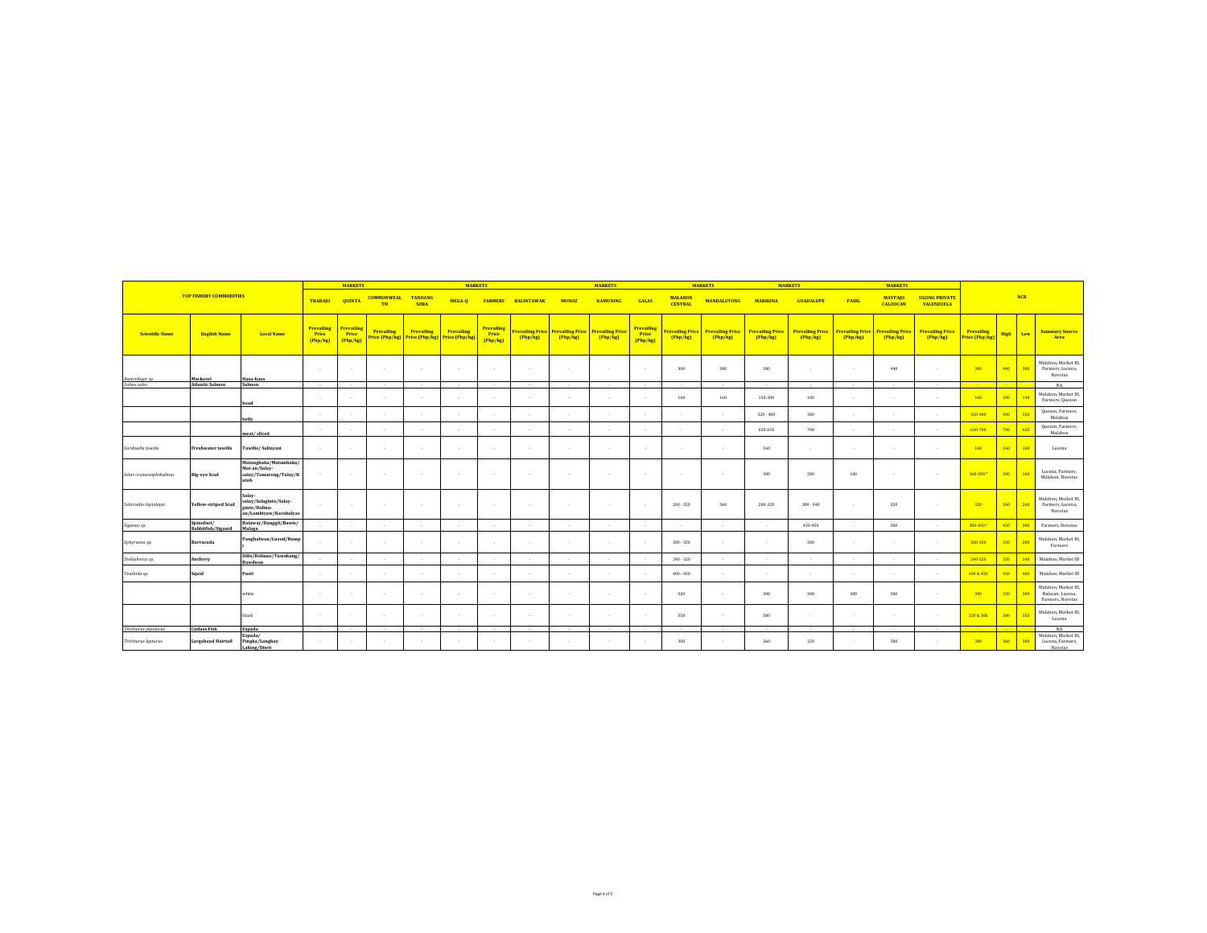|                        |                                  |                                                                             | <b>MARKETS</b><br><b>MARKETS</b>       |                                 |                                    |                               |                                     |                                 |                   |                                                     | <b>MARKETS</b>                    |                                 |                                   | <b>MARKETS</b>                    |                                   | <b>MARKETS</b>                    |                                                   | <b>MARKETS</b>                    |                                           |                              |      |     |                                                              |  |
|------------------------|----------------------------------|-----------------------------------------------------------------------------|----------------------------------------|---------------------------------|------------------------------------|-------------------------------|-------------------------------------|---------------------------------|-------------------|-----------------------------------------------------|-----------------------------------|---------------------------------|-----------------------------------|-----------------------------------|-----------------------------------|-----------------------------------|---------------------------------------------------|-----------------------------------|-------------------------------------------|------------------------------|------|-----|--------------------------------------------------------------|--|
|                        | <b>TOP FISHERY COMMODITIES</b>   |                                                                             | <b>TRABAJO</b>                         | <b>OUINTA</b>                   | <b>COMMONWEAL</b><br>TH            | <b>TANDANG</b><br><b>SORA</b> | MEGA-O                              | <b>FARMERS</b>                  | <b>BALINTAWAK</b> | <b>MUNOZ</b>                                        | <b>KAMUNING</b>                   | <b>GALAS</b>                    | <b>MALABON</b><br><b>CENTRAL</b>  | <b>MANDALUYONG</b>                | <b>MARIKINA</b>                   | <b>GUADALUPE</b>                  | <b>MAYPAJO</b><br><b>PASIG</b><br><b>CALOOCAN</b> |                                   | <b>UGONG PRIVATE</b><br><b>VALENZUELA</b> | <b>NCR</b>                   |      |     |                                                              |  |
| <b>Scientific Name</b> | <b>English Name</b>              | <b>Local Name</b>                                                           | <b>Prevailing</b><br>Price<br>(Php/kg) | Prevailing<br>Price<br>(Php/kg) | <b>Prevailing</b><br>rice (Php/kg) | Prevailing<br>Price (Php/kg)  | <b>Prevailing</b><br>Price (Php/kg) | Prevailing<br>Price<br>[Php/kg] | (Php/kg)          | <b>Prevailing Price Prevailing Price</b><br>Php/kg) | <b>Prevailing Price</b><br>Php/kg | Prevailing<br>Price<br>(Php/kg) | <b>Prevailing Price</b><br>Php/kg | <b>Prevailing Price</b><br>Php/kg | <b>Prevailing Price</b><br>Php/kg | <b>Prevailing Price</b><br>Php/kg | <b>Prevailing Price</b><br>Php/kg                 | <b>Prevailing Price</b><br>Php/kg | <b>Prevailing Price</b><br>Php/kg         | Prevailing<br>Price (Php/kg) | High | Low | <b>Summary Source</b><br>Area                                |  |
| Rastrelliger sp.       | Mackerel                         | Hasa-hasa                                                                   | $\sim$                                 |                                 |                                    |                               | $\sim$                              |                                 | - 1               |                                                     |                                   |                                 | 300                               | 380                               | 380                               |                                   |                                                   | 440                               | <b>1979</b>                               | 380                          | 440  | 300 | Malabon, Market III.<br>Farmers, Lucena,<br>Navotas          |  |
| Salmo salar            | <b>Atlantic Salmon</b>           | Salmon                                                                      |                                        |                                 |                                    |                               |                                     |                                 |                   |                                                     |                                   |                                 |                                   |                                   |                                   |                                   |                                                   |                                   |                                           |                              |      |     | NA                                                           |  |
|                        |                                  | head                                                                        | $\sim$                                 |                                 | $\sim$                             | $\sim$                        | . .                                 | $\sim$                          | 14                | $\sim$                                              | - 2                               | $\sim$                          | 160                               | 160                               | 150-300                           | 180                               |                                                   |                                   | <b>11</b>                                 | 160                          | 300  | 140 | Malabon, Market III,<br>Farmers, Quezon                      |  |
|                        |                                  | belly                                                                       | $\sim$                                 |                                 | $\sim$                             |                               | . .                                 |                                 |                   |                                                     |                                   |                                 |                                   | <b>11</b>                         | $320 - 400$                       | 380                               |                                                   |                                   | $\sim$                                    | 320-400                      | 400  | 320 | Quezon, Farmers,<br>Malabon                                  |  |
|                        |                                  | meat/sliced                                                                 | $\sim$                                 |                                 |                                    |                               | $\mathbf{r}$                        |                                 |                   |                                                     |                                   |                                 |                                   |                                   | 620-650                           | 700                               |                                                   |                                   | <b>11</b>                                 | 620-700                      | 700  | 620 | Quezon, Farmers,<br>Malabon                                  |  |
| Sardinella tawilis     | <b>Freshwater tawilis</b>        | Tawilis/ Salinyasi                                                          | 14                                     |                                 |                                    |                               | $\mathbf{r}$                        |                                 | $\mathbf{r}$      |                                                     |                                   |                                 | $\sim$                            | - 1                               | 160                               |                                   |                                                   |                                   | . .                                       | 160                          | 160  | 160 | Lucena                                                       |  |
| Selar crumenophthalmus | <b>Big-eye Scad</b>              | Matangbaka/Matambaka/<br>Mat-an/Salay-<br>salay/Tamarong/Tulay/K<br>stob    |                                        |                                 | . .                                |                               | $\sim$                              | $\sim$                          | ٠.                | $\sim$                                              |                                   |                                 |                                   | . .                               | 300                               | 280                               | 160                                               |                                   | ×.                                        | 160-300*                     | 300  | 160 | Lucena, Farmers,<br>Malabon, Navotas                         |  |
| Selaroides leptolepis  | <b>Yellow-striped Scad</b>       | Salav-<br>salay/Salaginto/Salay-<br>einto/Dalinu-<br>an/Lambiyaw/Karabalyas | $\sim$                                 |                                 | . .                                |                               | ٠.                                  | $\sim$                          | 14                | $\sim$                                              |                                   | $\sim$                          | $260 - 320$                       | 360                               | 280-320                           | $300 - 340$                       |                                                   | 320                               |                                           | 320                          | 360  | 260 | Malabon, Market III,<br>Farmers, Lucena,<br>Navotas          |  |
| Siganus sp.            | Spinefoot/<br>Rabbitfish/Siganid | Bataway/Danggit/Bawis/<br>Malaga                                            |                                        |                                 |                                    |                               |                                     |                                 |                   | $\sim$                                              |                                   | $\sim$                          |                                   | . .                               |                                   | 430-450                           |                                                   | 300                               | $\sim$                                    | 300-450 <sup>5</sup>         | 450  | 300 | Farmers, Navotas                                             |  |
| Sphyraena sp.          | Barracuda                        | Panghalwan/Lusod/Rump                                                       | <b>1979</b>                            |                                 |                                    |                               | ٠.                                  |                                 | $\mathbf{r}$      | 14                                                  |                                   | $\sim$                          | $300 - 320$                       | $\sim$                            | $\mathbf{r}$                      | 280                               |                                                   |                                   | <b>11</b>                                 | 280-320                      | 320  | 280 | Malabon, Market III,<br>Farmers                              |  |
| Stolephorus sp.        | Anchovy                          | Dilis/Bolinao/Tuwakang/<br><b>Bawdnon</b>                                   |                                        |                                 |                                    |                               | ٠.                                  |                                 |                   |                                                     |                                   |                                 | $240 - 320$                       | <b>11</b>                         | $\sim$                            | $\sim$                            |                                                   | $\sim$                            | $\sim$                                    | 240-320                      | 320  | 240 | Malabon, Market III                                          |  |
| Teuthida sp.           | Squid                            | Pusit                                                                       | $\sim$                                 |                                 | $\mathbf{r}$                       |                               | $\mathbf{r}$                        | ×                               | $\mathbf{r}$      | $\sim$                                              |                                   | $\sim$                          | $400 - 450$                       | $\sim$                            |                                   |                                   |                                                   |                                   | <b>1979</b>                               | 400 & 450                    | 450  | 400 | Malabon, Market III                                          |  |
|                        |                                  | white                                                                       | $\sim$                                 |                                 | $\mathbf{r}$                       |                               | . .                                 | . .                             | 14                | $\sim$                                              |                                   | $\sim$                          | 320                               | . .                               | 300                               | 300                               | 300                                               | 300                               | $\sim$                                    | 300                          | 320  | 300 | Malabon, Market III,<br>Bulacan, Lucena,<br>Farmers, Navotas |  |
|                        |                                  | black                                                                       | 14                                     |                                 |                                    |                               | ٠.                                  | ×                               | $\mathbf{r}$      | 14                                                  |                                   | $\sim$                          | 350                               | . .                               | 380                               | $\sim$                            |                                                   |                                   | $\sim$                                    | 350 & 380                    | 380  | 350 | Malabon, Market III,<br>Lucena                               |  |
| Trichiurus iaponicus   | <b>Cutlass Fish</b>              | Espada                                                                      | <b>Service</b>                         |                                 |                                    |                               |                                     |                                 |                   |                                                     |                                   |                                 |                                   |                                   |                                   |                                   |                                                   |                                   |                                           | m.                           |      |     | NA                                                           |  |
| Trichiurus lepturus    | Largehead Hairtail               | Espada/<br>Pingka/Langkoy<br>Lahing/Diwit                                   | <b>1979</b>                            |                                 |                                    |                               |                                     |                                 |                   |                                                     |                                   |                                 | 300                               |                                   | 360                               | 320                               |                                                   | 300                               |                                           | 300                          | 360  | 300 | Malabon, Market III,<br>Lucena, Farmers,<br>Navotas          |  |